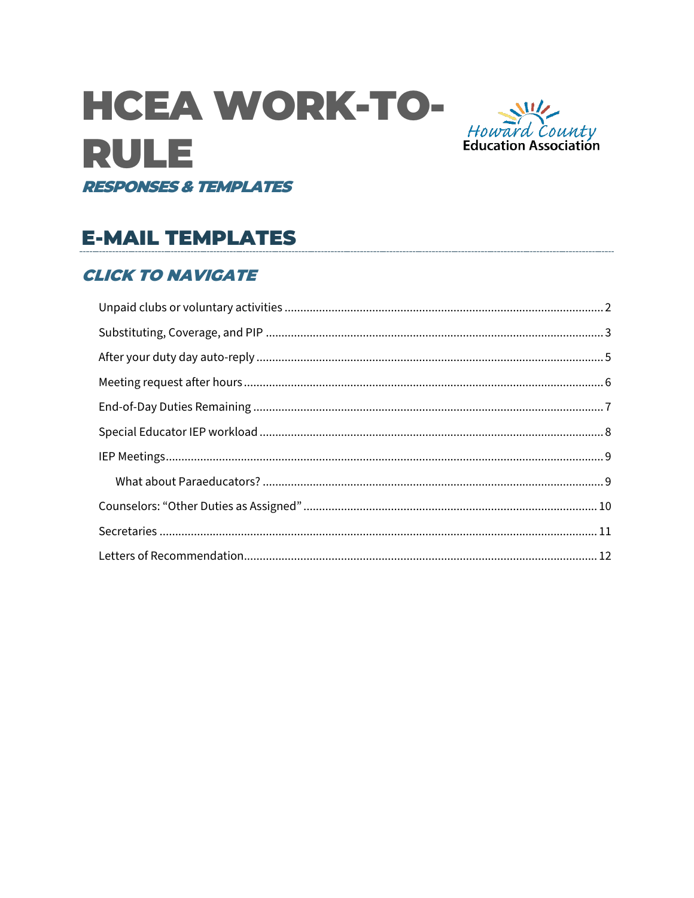# **HCEA WORK-TO-RULE RESPONSES & TEMPLATES**



# **E-MAIL TEMPLATES**

### **CLICK TO NAVIGATE**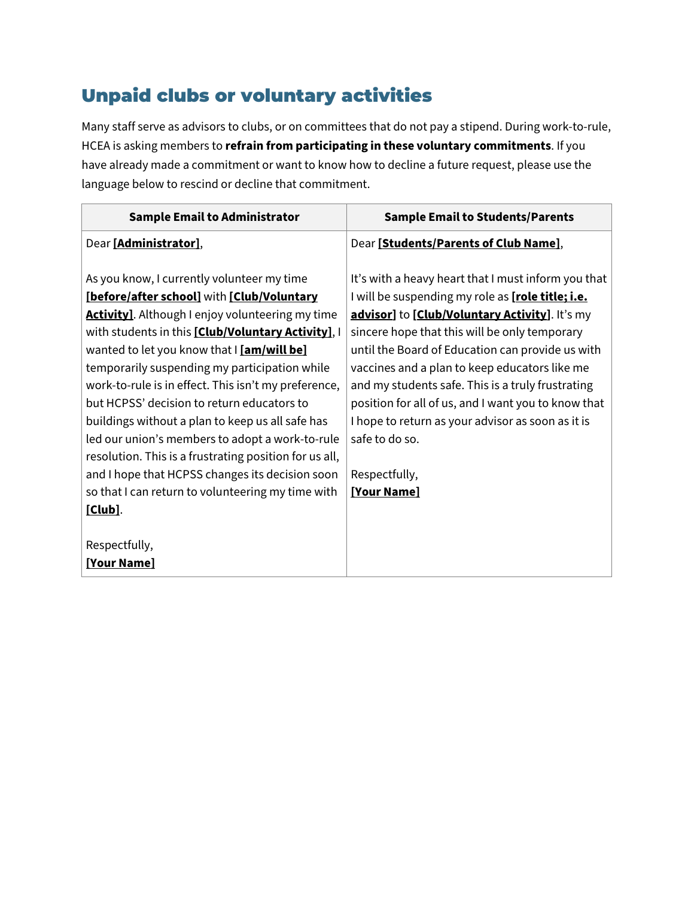# <span id="page-1-0"></span>Unpaid clubs or voluntary activities

Many staff serve as advisors to clubs, or on committees that do not pay a stipend. During work-to-rule, HCEA is asking members to **refrain from participating in these voluntary commitments**. If you have already made a commitment or want to know how to decline a future request, please use the language below to rescind or decline that commitment.

| <b>Sample Email to Administrator</b>                     | <b>Sample Email to Students/Parents</b>             |
|----------------------------------------------------------|-----------------------------------------------------|
| Dear [Administrator],                                    | Dear [Students/Parents of Club Name],               |
|                                                          |                                                     |
| As you know, I currently volunteer my time               | It's with a heavy heart that I must inform you that |
| [before/after school] with [Club/Voluntary               | I will be suspending my role as [role title; i.e.   |
| <b>Activity]</b> . Although I enjoy volunteering my time | advisor] to [Club/Voluntary Activity]. It's my      |
| with students in this [Club/Voluntary Activity], I       | sincere hope that this will be only temporary       |
| wanted to let you know that I [am/will be]               | until the Board of Education can provide us with    |
| temporarily suspending my participation while            | vaccines and a plan to keep educators like me       |
| work-to-rule is in effect. This isn't my preference,     | and my students safe. This is a truly frustrating   |
| but HCPSS' decision to return educators to               | position for all of us, and I want you to know that |
| buildings without a plan to keep us all safe has         | I hope to return as your advisor as soon as it is   |
| led our union's members to adopt a work-to-rule          | safe to do so.                                      |
| resolution. This is a frustrating position for us all,   |                                                     |
| and I hope that HCPSS changes its decision soon          | Respectfully,                                       |
| so that I can return to volunteering my time with        | <b>[Your Name]</b>                                  |
| [Club].                                                  |                                                     |
|                                                          |                                                     |
| Respectfully,                                            |                                                     |
| <b>[Your Name]</b>                                       |                                                     |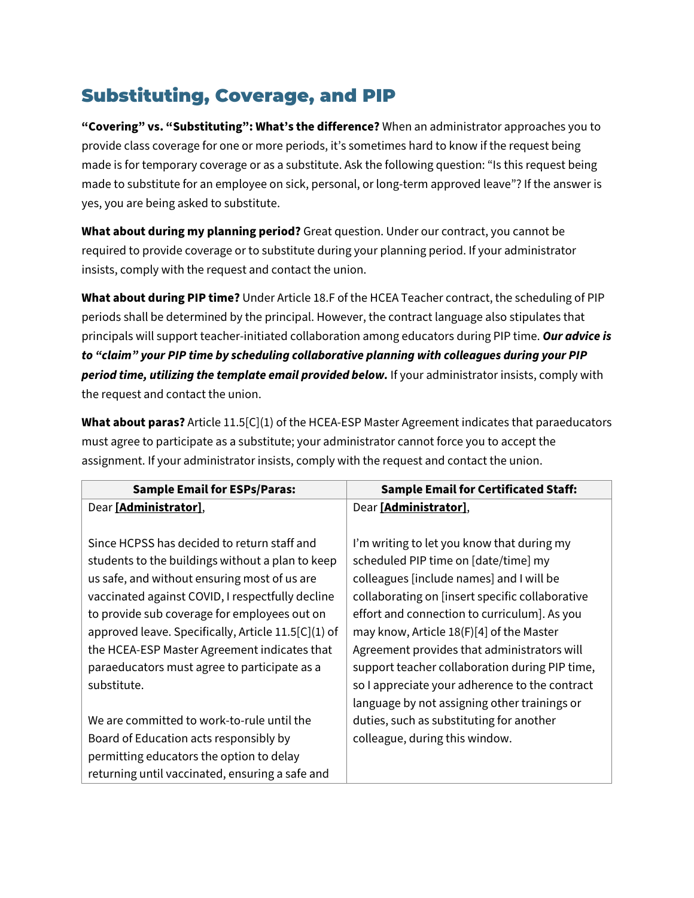# <span id="page-2-0"></span>Substituting, Coverage, and PIP

**"Covering" vs. "Substituting": What's the difference?** When an administrator approaches you to provide class coverage for one or more periods, it's sometimes hard to know if the request being made is for temporary coverage or as a substitute. Ask the following question: "Is this request being made to substitute for an employee on sick, personal, or long-term approved leave"? If the answer is yes, you are being asked to substitute.

**What about during my planning period?** Great question. Under our contract, you cannot be required to provide coverage or to substitute during your planning period. If your administrator insists, comply with the request and contact the union.

**What about during PIP time?** Under Article 18.F of the HCEA Teacher contract, the scheduling of PIP periods shall be determined by the principal. However, the contract language also stipulates that principals will support teacher-initiated collaboration among educators during PIP time. *Our advice is to "claim" your PIP time by scheduling collaborative planning with colleagues during your PIP period time, utilizing the template email provided below.* If your administrator insists, comply with the request and contact the union.

**What about paras?** Article 11.5[C](1) of the HCEA-ESP Master Agreement indicates that paraeducators must agree to participate as a substitute; your administrator cannot force you to accept the assignment. If your administrator insists, comply with the request and contact the union.

| <b>Sample Email for ESPs/Paras:</b>                 | <b>Sample Email for Certificated Staff:</b>     |
|-----------------------------------------------------|-------------------------------------------------|
| Dear [Administrator],                               | Dear [Administrator],                           |
|                                                     |                                                 |
| Since HCPSS has decided to return staff and         | I'm writing to let you know that during my      |
| students to the buildings without a plan to keep    | scheduled PIP time on [date/time] my            |
| us safe, and without ensuring most of us are        | colleagues [include names] and I will be        |
| vaccinated against COVID, I respectfully decline    | collaborating on [insert specific collaborative |
| to provide sub coverage for employees out on        | effort and connection to curriculum]. As you    |
| approved leave. Specifically, Article 11.5[C](1) of | may know, Article 18(F)[4] of the Master        |
| the HCEA-ESP Master Agreement indicates that        | Agreement provides that administrators will     |
| paraeducators must agree to participate as a        | support teacher collaboration during PIP time,  |
| substitute.                                         | so I appreciate your adherence to the contract  |
|                                                     | language by not assigning other trainings or    |
| We are committed to work-to-rule until the          | duties, such as substituting for another        |
| Board of Education acts responsibly by              | colleague, during this window.                  |
| permitting educators the option to delay            |                                                 |
| returning until vaccinated, ensuring a safe and     |                                                 |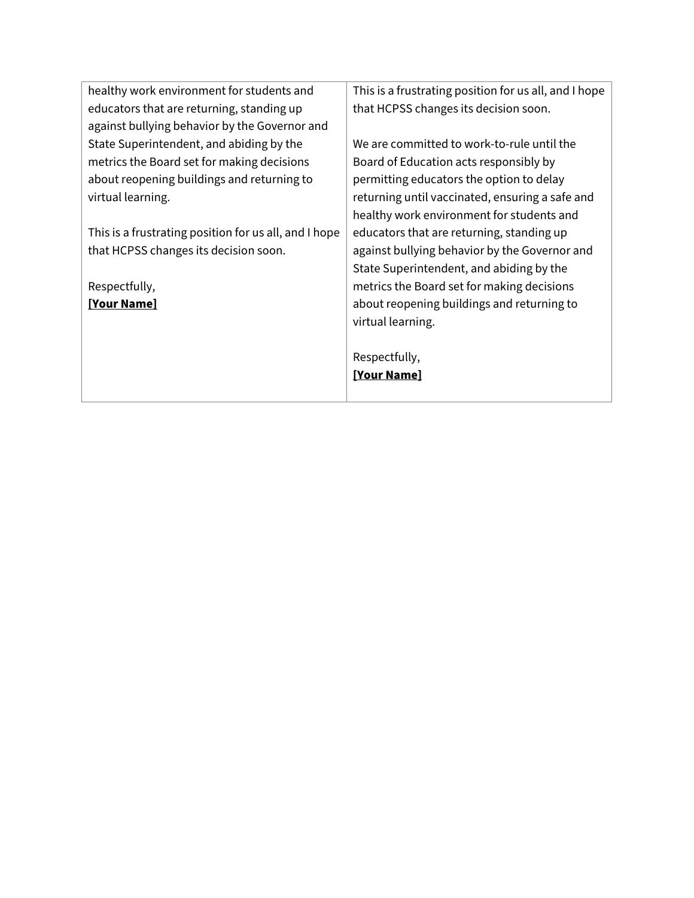| healthy work environment for students and             | This is a frustrating position for us all, and I hope |
|-------------------------------------------------------|-------------------------------------------------------|
| educators that are returning, standing up             | that HCPSS changes its decision soon.                 |
| against bullying behavior by the Governor and         |                                                       |
| State Superintendent, and abiding by the              | We are committed to work-to-rule until the            |
| metrics the Board set for making decisions            | Board of Education acts responsibly by                |
| about reopening buildings and returning to            | permitting educators the option to delay              |
| virtual learning.                                     | returning until vaccinated, ensuring a safe and       |
|                                                       | healthy work environment for students and             |
| This is a frustrating position for us all, and I hope | educators that are returning, standing up             |
| that HCPSS changes its decision soon.                 | against bullying behavior by the Governor and         |
|                                                       | State Superintendent, and abiding by the              |
| Respectfully,                                         | metrics the Board set for making decisions            |
| <b>[Your Name]</b>                                    | about reopening buildings and returning to            |
|                                                       | virtual learning.                                     |
|                                                       |                                                       |
|                                                       | Respectfully,                                         |
|                                                       | <b>[Your Name]</b>                                    |
|                                                       |                                                       |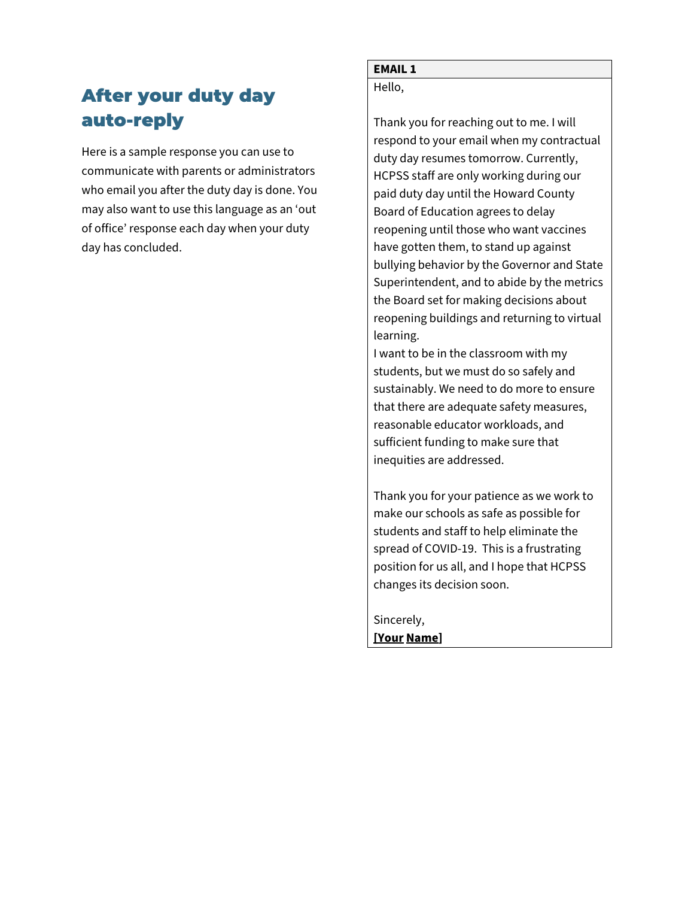# <span id="page-4-0"></span>After your duty day auto-reply

Here is a sample response you can use to communicate with parents or administrators who email you after the duty day is done. You may also want to use this language as an 'out of office' response each day when your duty day has concluded.

### **EMAIL 1**

Hello,

Thank you for reaching out to me. I will respond to your email when my contractual duty day resumes tomorrow. Currently, HCPSS staff are only working during our paid duty day until the Howard County Board of Education agrees to delay reopening until those who want vaccines have gotten them, to stand up against bullying behavior by the Governor and State Superintendent, and to abide by the metrics the Board set for making decisions about reopening buildings and returning to virtual learning.

I want to be in the classroom with my students, but we must do so safely and sustainably. We need to do more to ensure that there are adequate safety measures, reasonable educator workloads, and sufficient funding to make sure that inequities are addressed.

Thank you for your patience as we work to make our schools as safe as possible for students and staff to help eliminate the spread of COVID-19. This is a frustrating position for us all, and I hope that HCPSS changes its decision soon.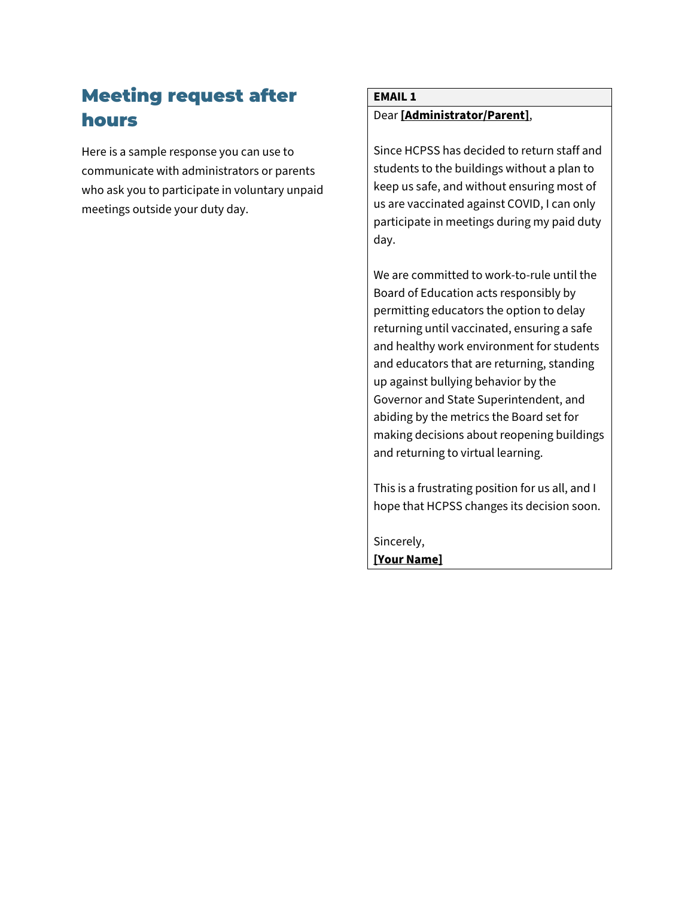# <span id="page-5-0"></span>Meeting request after hours

Here is a sample response you can use to communicate with administrators or parents who ask you to participate in voluntary unpaid meetings outside your duty day.

### **EMAIL 1** Dear **[Administrator/Parent]**,

Since HCPSS has decided to return staff and students to the buildings without a plan to keep us safe, and without ensuring most of us are vaccinated against COVID, I can only participate in meetings during my paid duty day.

We are committed to work-to-rule until the Board of Education acts responsibly by permitting educators the option to delay returning until vaccinated, ensuring a safe and healthy work environment for students and educators that are returning, standing up against bullying behavior by the Governor and State Superintendent, and abiding by the metrics the Board set for making decisions about reopening buildings and returning to virtual learning.

This is a frustrating position for us all, and I hope that HCPSS changes its decision soon.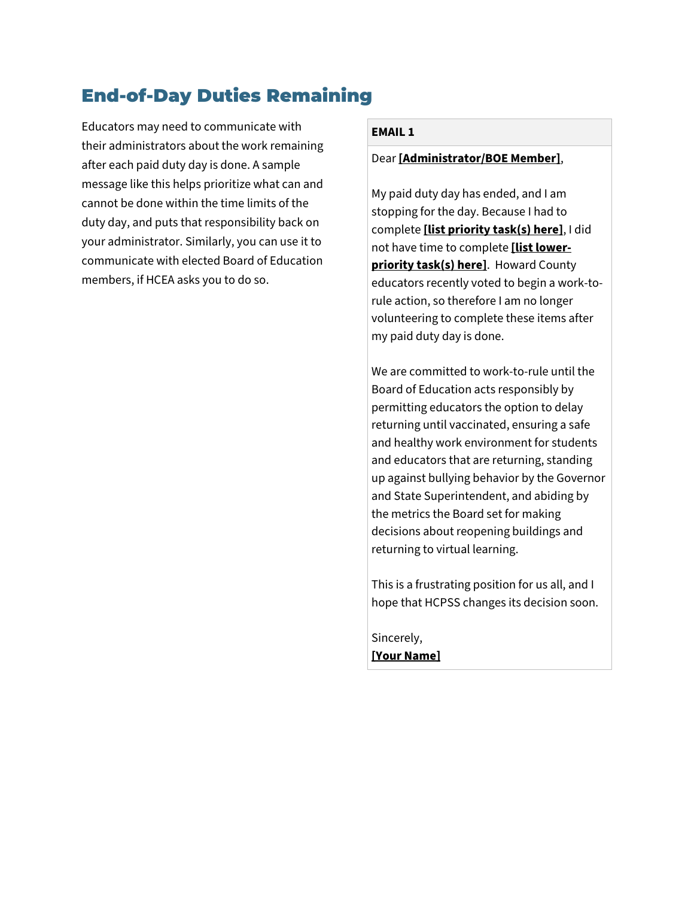# <span id="page-6-0"></span>End-of-Day Duties Remaining

Educators may need to communicate with their administrators about the work remaining after each paid duty day is done. A sample message like this helps prioritize what can and cannot be done within the time limits of the duty day, and puts that responsibility back on your administrator. Similarly, you can use it to communicate with elected Board of Education members, if HCEA asks you to do so.

#### **EMAIL 1**

#### Dear **[Administrator/BOE Member]**,

My paid duty day has ended, and I am stopping for the day. Because I had to complete **[list priority task(s) here]**, I did not have time to complete **[list lowerpriority task(s) here]**. Howard County educators recently voted to begin a work-torule action, so therefore I am no longer volunteering to complete these items after my paid duty day is done.

We are committed to work-to-rule until the Board of Education acts responsibly by permitting educators the option to delay returning until vaccinated, ensuring a safe and healthy work environment for students and educators that are returning, standing up against bullying behavior by the Governor and State Superintendent, and abiding by the metrics the Board set for making decisions about reopening buildings and returning to virtual learning.

This is a frustrating position for us all, and I hope that HCPSS changes its decision soon.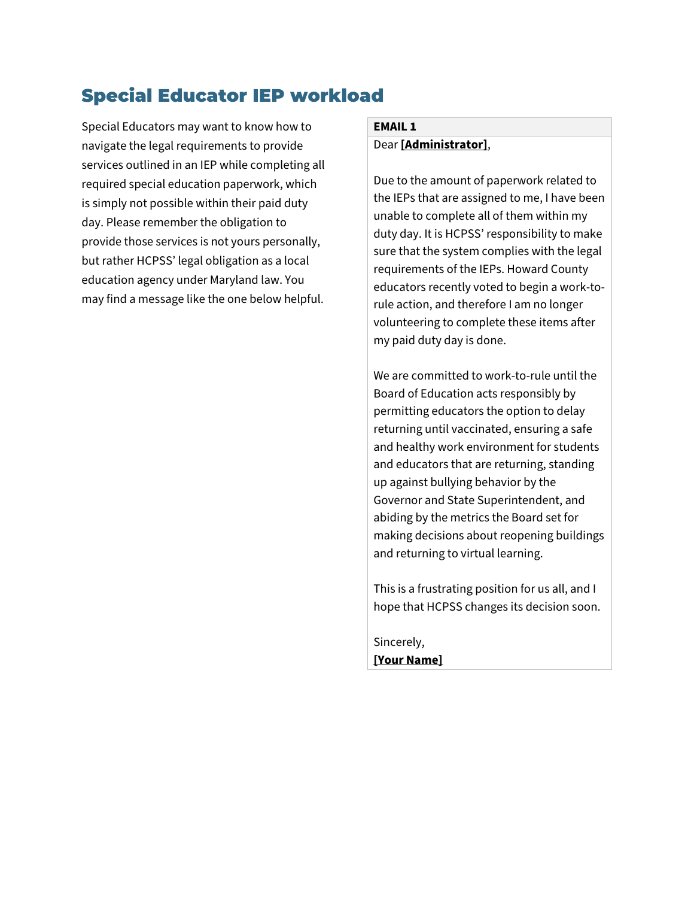## <span id="page-7-0"></span>Special Educator IEP workload

Special Educators may want to know how to navigate the legal requirements to provide services outlined in an IEP while completing all required special education paperwork, which is simply not possible within their paid duty day. Please remember the obligation to provide those services is not yours personally, but rather HCPSS' legal obligation as a local education agency under Maryland law. You may find a message like the one below helpful.

#### **EMAIL 1** Dear **[Administrator]**,

Due to the amount of paperwork related to the IEPs that are assigned to me, I have been unable to complete all of them within my duty day. It is HCPSS' responsibility to make sure that the system complies with the legal requirements of the IEPs. Howard County educators recently voted to begin a work-torule action, and therefore I am no longer volunteering to complete these items after my paid duty day is done.

We are committed to work-to-rule until the Board of Education acts responsibly by permitting educators the option to delay returning until vaccinated, ensuring a safe and healthy work environment for students and educators that are returning, standing up against bullying behavior by the Governor and State Superintendent, and abiding by the metrics the Board set for making decisions about reopening buildings and returning to virtual learning.

This is a frustrating position for us all, and I hope that HCPSS changes its decision soon.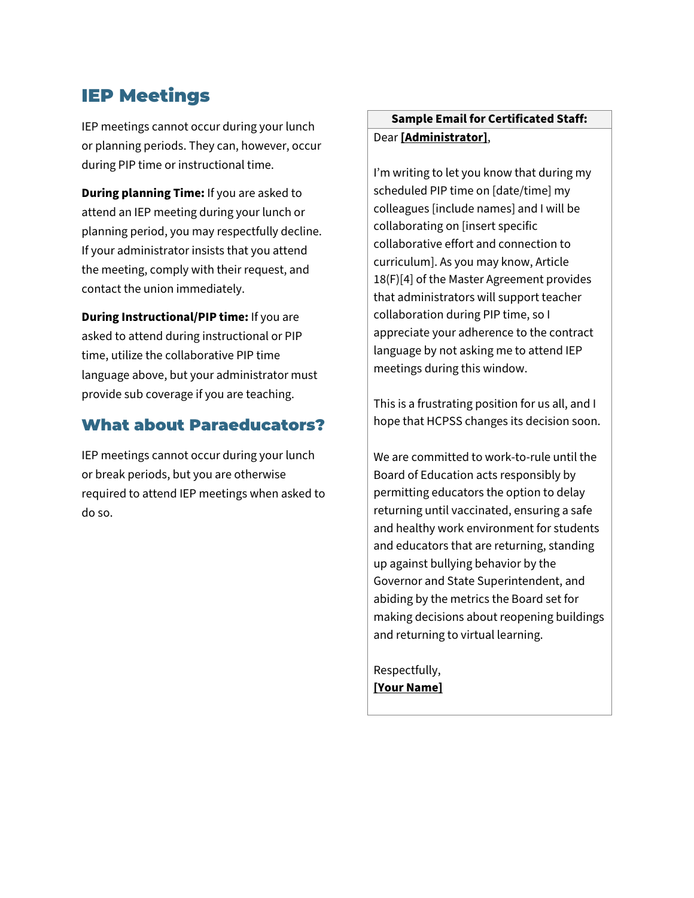## <span id="page-8-0"></span>IEP Meetings

IEP meetings cannot occur during your lunch or planning periods. They can, however, occur during PIP time or instructional time.

**During planning Time:** If you are asked to attend an IEP meeting during your lunch or planning period, you may respectfully decline. If your administrator insists that you attend the meeting, comply with their request, and contact the union immediately.

**During Instructional/PIP time:** If you are asked to attend during instructional or PIP time, utilize the collaborative PIP time language above, but your administrator must provide sub coverage if you are teaching.

### <span id="page-8-1"></span>What about Paraeducators?

IEP meetings cannot occur during your lunch or break periods, but you are otherwise required to attend IEP meetings when asked to do so.

### **Sample Email for Certificated Staff:** Dear **[Administrator]**,

I'm writing to let you know that during my scheduled PIP time on [date/time] my colleagues [include names] and I will be collaborating on [insert specific collaborative effort and connection to curriculum]. As you may know, Article 18(F)[4] of the Master Agreement provides that administrators will support teacher collaboration during PIP time, so I appreciate your adherence to the contract language by not asking me to attend IEP meetings during this window.

This is a frustrating position for us all, and I hope that HCPSS changes its decision soon.

We are committed to work-to-rule until the Board of Education acts responsibly by permitting educators the option to delay returning until vaccinated, ensuring a safe and healthy work environment for students and educators that are returning, standing up against bullying behavior by the Governor and State Superintendent, and abiding by the metrics the Board set for making decisions about reopening buildings and returning to virtual learning.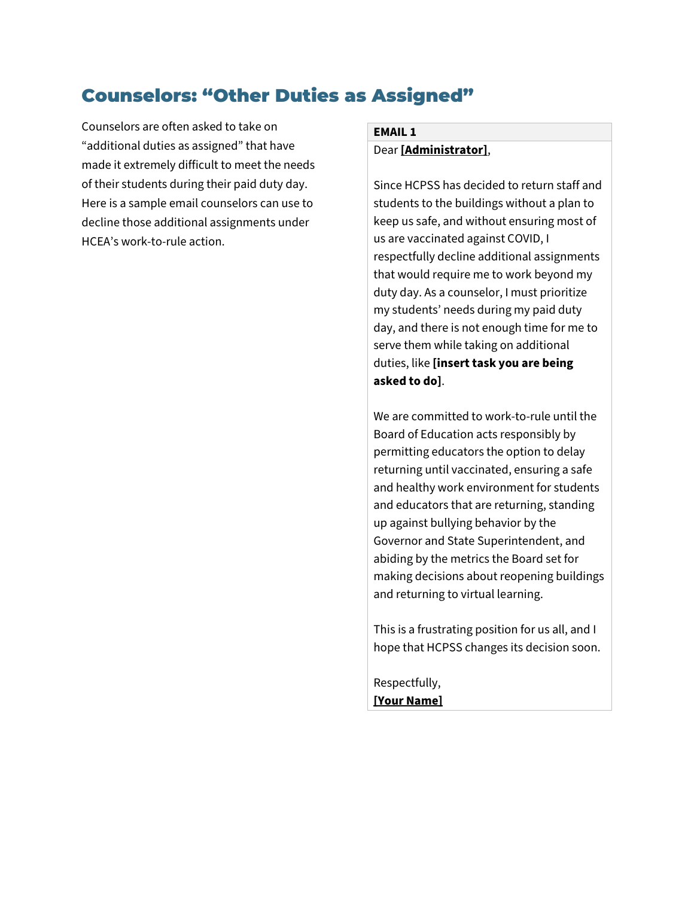### <span id="page-9-0"></span>Counselors: "Other Duties as Assigned"

Counselors are often asked to take on "additional duties as assigned" that have made it extremely difficult to meet the needs of their students during their paid duty day. Here is a sample email counselors can use to decline those additional assignments under HCEA's work-to-rule action.

#### **EMAIL 1** Dear **[Administrator]**,

Since HCPSS has decided to return staff and students to the buildings without a plan to keep us safe, and without ensuring most of us are vaccinated against COVID, I respectfully decline additional assignments that would require me to work beyond my duty day. As a counselor, I must prioritize my students' needs during my paid duty day, and there is not enough time for me to serve them while taking on additional duties, like **[insert task you are being asked to do]**.

We are committed to work-to-rule until the Board of Education acts responsibly by permitting educators the option to delay returning until vaccinated, ensuring a safe and healthy work environment for students and educators that are returning, standing up against bullying behavior by the Governor and State Superintendent, and abiding by the metrics the Board set for making decisions about reopening buildings and returning to virtual learning.

This is a frustrating position for us all, and I hope that HCPSS changes its decision soon.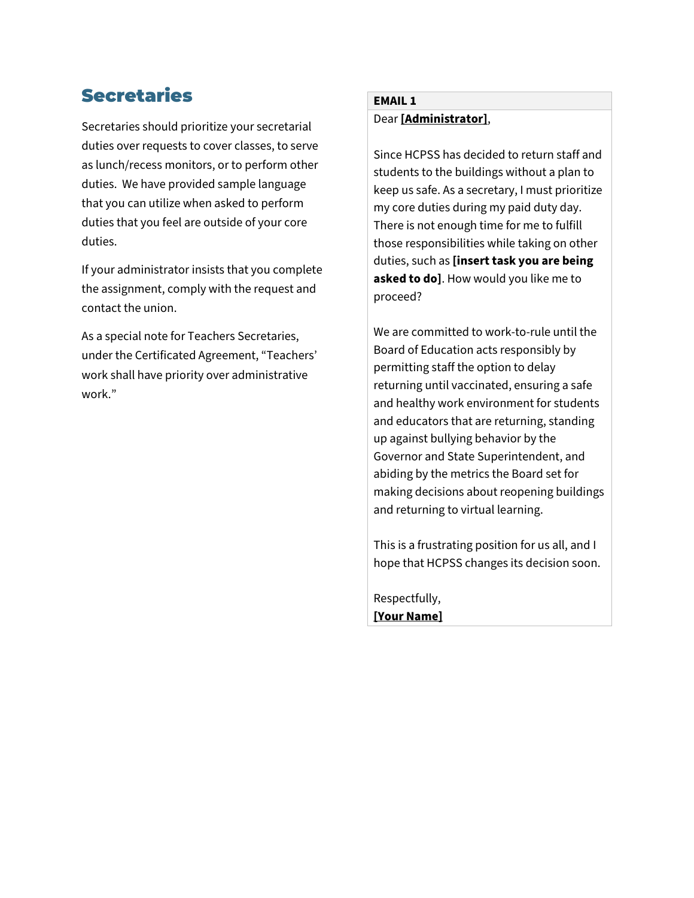## <span id="page-10-0"></span>**Secretaries**

Secretaries should prioritize your secretarial duties over requests to cover classes, to serve as lunch/recess monitors, or to perform other duties. We have provided sample language that you can utilize when asked to perform duties that you feel are outside of your core duties.

If your administrator insists that you complete the assignment, comply with the request and contact the union.

As a special note for Teachers Secretaries, under the Certificated Agreement, "Teachers' work shall have priority over administrative work."

### **EMAIL 1** Dear **[Administrator]**,

Since HCPSS has decided to return staff and students to the buildings without a plan to keep us safe. As a secretary, I must prioritize my core duties during my paid duty day. There is not enough time for me to fulfill those responsibilities while taking on other duties, such as **[insert task you are being asked to do]**. How would you like me to proceed?

We are committed to work-to-rule until the Board of Education acts responsibly by permitting staff the option to delay returning until vaccinated, ensuring a safe and healthy work environment for students and educators that are returning, standing up against bullying behavior by the Governor and State Superintendent, and abiding by the metrics the Board set for making decisions about reopening buildings and returning to virtual learning.

This is a frustrating position for us all, and I hope that HCPSS changes its decision soon.